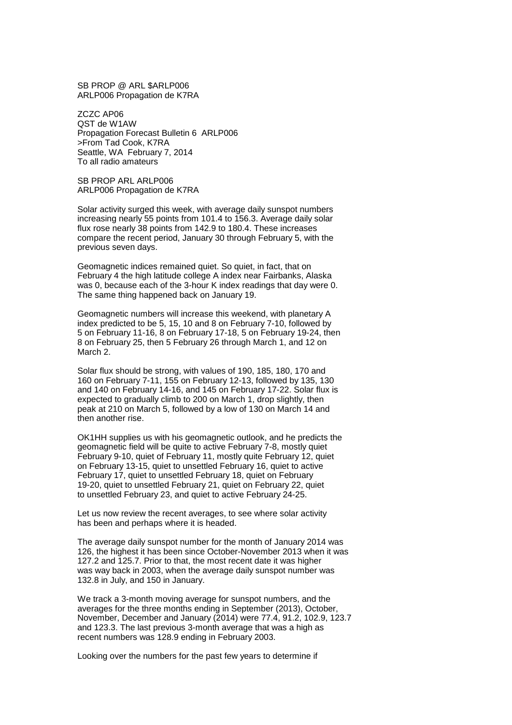SB PROP @ ARL \$ARLP006 ARLP006 Propagation de K7RA

ZCZC AP06 QST de W1AW Propagation Forecast Bulletin 6 ARLP006 >From Tad Cook, K7RA Seattle, WA February 7, 2014 To all radio amateurs

SB PROP ARL ARLP006 ARLP006 Propagation de K7RA

Solar activity surged this week, with average daily sunspot numbers increasing nearly 55 points from 101.4 to 156.3. Average daily solar flux rose nearly 38 points from 142.9 to 180.4. These increases compare the recent period, January 30 through February 5, with the previous seven days.

Geomagnetic indices remained quiet. So quiet, in fact, that on February 4 the high latitude college A index near Fairbanks, Alaska was 0, because each of the 3-hour K index readings that day were 0. The same thing happened back on January 19.

Geomagnetic numbers will increase this weekend, with planetary A index predicted to be 5, 15, 10 and 8 on February 7-10, followed by 5 on February 11-16, 8 on February 17-18, 5 on February 19-24, then 8 on February 25, then 5 February 26 through March 1, and 12 on March 2.

Solar flux should be strong, with values of 190, 185, 180, 170 and 160 on February 7-11, 155 on February 12-13, followed by 135, 130 and 140 on February 14-16, and 145 on February 17-22. Solar flux is expected to gradually climb to 200 on March 1, drop slightly, then peak at 210 on March 5, followed by a low of 130 on March 14 and then another rise.

OK1HH supplies us with his geomagnetic outlook, and he predicts the geomagnetic field will be quite to active February 7-8, mostly quiet February 9-10, quiet of February 11, mostly quite February 12, quiet on February 13-15, quiet to unsettled February 16, quiet to active February 17, quiet to unsettled February 18, quiet on February 19-20, quiet to unsettled February 21, quiet on February 22, quiet to unsettled February 23, and quiet to active February 24-25.

Let us now review the recent averages, to see where solar activity has been and perhaps where it is headed.

The average daily sunspot number for the month of January 2014 was 126, the highest it has been since October-November 2013 when it was 127.2 and 125.7. Prior to that, the most recent date it was higher was way back in 2003, when the average daily sunspot number was 132.8 in July, and 150 in January.

We track a 3-month moving average for sunspot numbers, and the averages for the three months ending in September (2013), October, November, December and January (2014) were 77.4, 91.2, 102.9, 123.7 and 123.3. The last previous 3-month average that was a high as recent numbers was 128.9 ending in February 2003.

Looking over the numbers for the past few years to determine if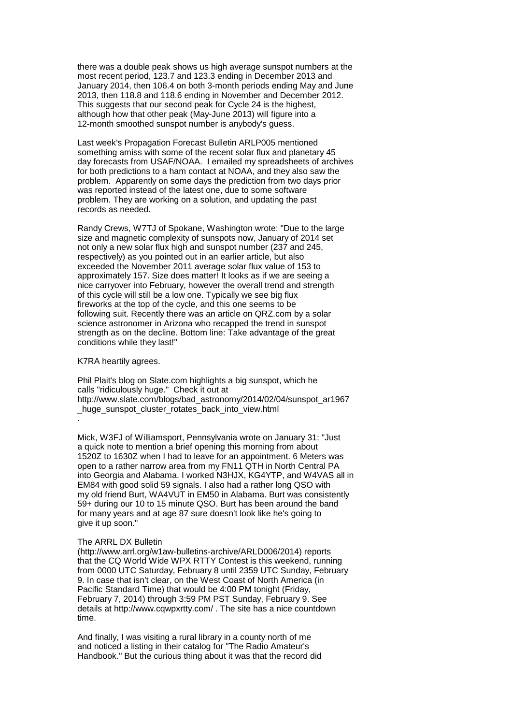there was a double peak shows us high average sunspot numbers at the most recent period, 123.7 and 123.3 ending in December 2013 and January 2014, then 106.4 on both 3-month periods ending May and June 2013, then 118.8 and 118.6 ending in November and December 2012. This suggests that our second peak for Cycle 24 is the highest, although how that other peak (May-June 2013) will figure into a 12-month smoothed sunspot number is anybody's guess.

Last week's Propagation Forecast Bulletin ARLP005 mentioned something amiss with some of the recent solar flux and planetary 45 day forecasts from USAF/NOAA. I emailed my spreadsheets of archives for both predictions to a ham contact at NOAA, and they also saw the problem. Apparently on some days the prediction from two days prior was reported instead of the latest one, due to some software problem. They are working on a solution, and updating the past records as needed.

Randy Crews, W7TJ of Spokane, Washington wrote: "Due to the large size and magnetic complexity of sunspots now, January of 2014 set not only a new solar flux high and sunspot number (237 and 245, respectively) as you pointed out in an earlier article, but also exceeded the November 2011 average solar flux value of 153 to approximately 157. Size does matter! It looks as if we are seeing a nice carryover into February, however the overall trend and strength of this cycle will still be a low one. Typically we see big flux fireworks at the top of the cycle, and this one seems to be following suit. Recently there was an article on QRZ.com by a solar science astronomer in Arizona who recapped the trend in sunspot strength as on the decline. Bottom line: Take advantage of the great conditions while they last!"

K7RA heartily agrees.

Phil Plait's blog on Slate.com highlights a big sunspot, which he calls "ridiculously huge." Check it out at http://www.slate.com/blogs/bad\_astronomy/2014/02/04/sunspot\_ar1967 \_huge\_sunspot\_cluster\_rotates\_back\_into\_view.html .

Mick, W3FJ of Williamsport, Pennsylvania wrote on January 31: "Just a quick note to mention a brief opening this morning from about 1520Z to 1630Z when I had to leave for an appointment. 6 Meters was open to a rather narrow area from my FN11 QTH in North Central PA into Georgia and Alabama. I worked N3HJX, KG4YTP, and W4VAS all in EM84 with good solid 59 signals. I also had a rather long QSO with my old friend Burt, WA4VUT in EM50 in Alabama. Burt was consistently 59+ during our 10 to 15 minute QSO. Burt has been around the band for many years and at age 87 sure doesn't look like he's going to give it up soon."

## The ARRL DX Bulletin

(http://www.arrl.org/w1aw-bulletins-archive/ARLD006/2014) reports that the CQ World Wide WPX RTTY Contest is this weekend, running from 0000 UTC Saturday, February 8 until 2359 UTC Sunday, February 9. In case that isn't clear, on the West Coast of North America (in Pacific Standard Time) that would be 4:00 PM tonight (Friday, February 7, 2014) through 3:59 PM PST Sunday, February 9. See details at http://www.cqwpxrtty.com/ . The site has a nice countdown time.

And finally, I was visiting a rural library in a county north of me and noticed a listing in their catalog for "The Radio Amateur's Handbook." But the curious thing about it was that the record did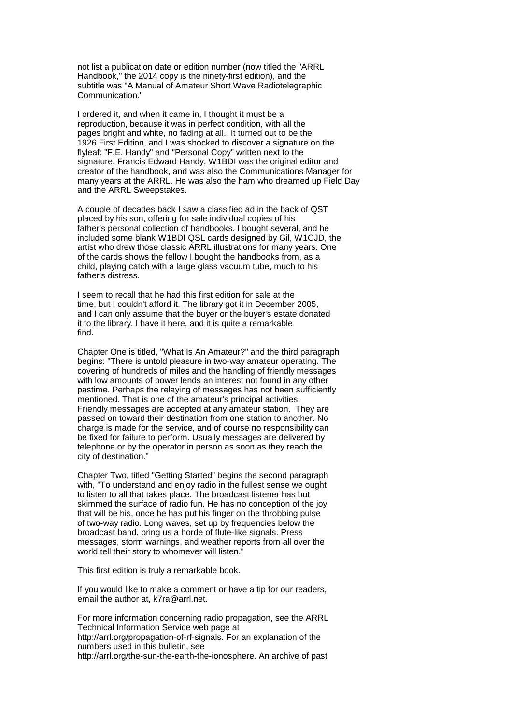not list a publication date or edition number (now titled the "ARRL Handbook," the 2014 copy is the ninety-first edition), and the subtitle was "A Manual of Amateur Short Wave Radiotelegraphic Communication."

I ordered it, and when it came in, I thought it must be a reproduction, because it was in perfect condition, with all the pages bright and white, no fading at all. It turned out to be the 1926 First Edition, and I was shocked to discover a signature on the flyleaf: "F.E. Handy" and "Personal Copy" written next to the signature. Francis Edward Handy, W1BDI was the original editor and creator of the handbook, and was also the Communications Manager for many years at the ARRL. He was also the ham who dreamed up Field Day and the ARRL Sweepstakes.

A couple of decades back I saw a classified ad in the back of QST placed by his son, offering for sale individual copies of his father's personal collection of handbooks. I bought several, and he included some blank W1BDI QSL cards designed by Gil, W1CJD, the artist who drew those classic ARRL illustrations for many years. One of the cards shows the fellow I bought the handbooks from, as a child, playing catch with a large glass vacuum tube, much to his father's distress.

I seem to recall that he had this first edition for sale at the time, but I couldn't afford it. The library got it in December 2005, and I can only assume that the buyer or the buyer's estate donated it to the library. I have it here, and it is quite a remarkable find.

Chapter One is titled, "What Is An Amateur?" and the third paragraph begins: "There is untold pleasure in two-way amateur operating. The covering of hundreds of miles and the handling of friendly messages with low amounts of power lends an interest not found in any other pastime. Perhaps the relaying of messages has not been sufficiently mentioned. That is one of the amateur's principal activities. Friendly messages are accepted at any amateur station. They are passed on toward their destination from one station to another. No charge is made for the service, and of course no responsibility can be fixed for failure to perform. Usually messages are delivered by telephone or by the operator in person as soon as they reach the city of destination."

Chapter Two, titled "Getting Started" begins the second paragraph with, "To understand and enjoy radio in the fullest sense we ought to listen to all that takes place. The broadcast listener has but skimmed the surface of radio fun. He has no conception of the joy that will be his, once he has put his finger on the throbbing pulse of two-way radio. Long waves, set up by frequencies below the broadcast band, bring us a horde of flute-like signals. Press messages, storm warnings, and weather reports from all over the world tell their story to whomever will listen."

This first edition is truly a remarkable book.

If you would like to make a comment or have a tip for our readers, email the author at, k7ra@arrl.net.

For more information concerning radio propagation, see the ARRL Technical Information Service web page at http://arrl.org/propagation-of-rf-signals. For an explanation of the numbers used in this bulletin, see

http://arrl.org/the-sun-the-earth-the-ionosphere. An archive of past